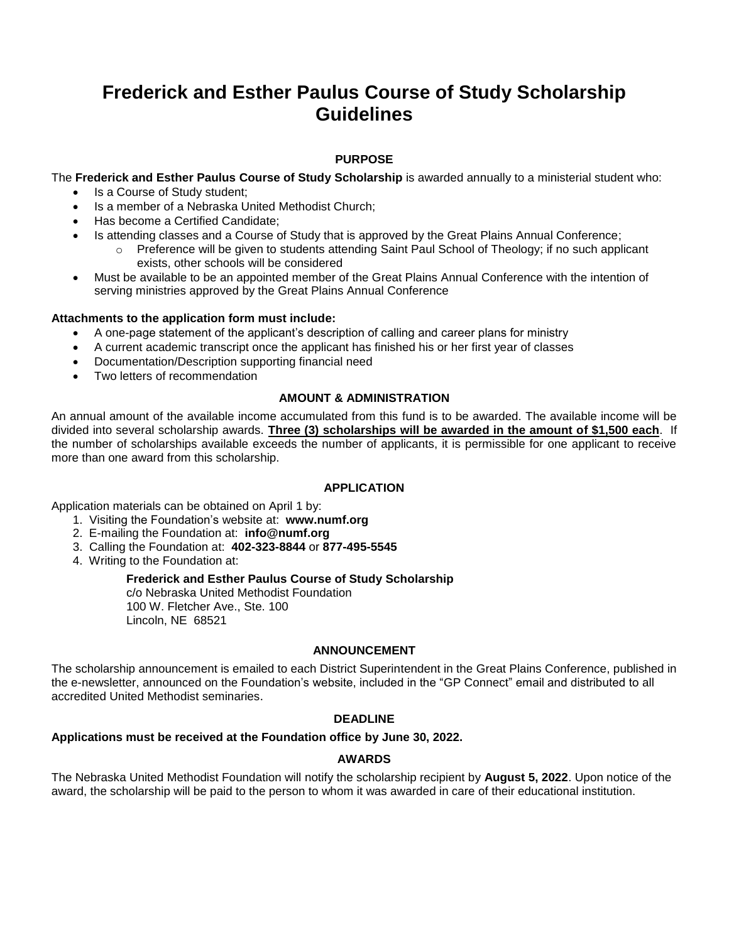## **Frederick and Esther Paulus Course of Study Scholarship Guidelines**

## **PURPOSE**

The **Frederick and Esther Paulus Course of Study Scholarship** is awarded annually to a ministerial student who:

- Is a Course of Study student:
- Is a member of a Nebraska United Methodist Church;
- Has become a Certified Candidate:
- Is attending classes and a Course of Study that is approved by the Great Plains Annual Conference;
	- o Preference will be given to students attending Saint Paul School of Theology; if no such applicant exists, other schools will be considered
- Must be available to be an appointed member of the Great Plains Annual Conference with the intention of serving ministries approved by the Great Plains Annual Conference

## **Attachments to the application form must include:**

- A one-page statement of the applicant's description of calling and career plans for ministry
- A current academic transcript once the applicant has finished his or her first year of classes
- Documentation/Description supporting financial need
- Two letters of recommendation

## **AMOUNT & ADMINISTRATION**

An annual amount of the available income accumulated from this fund is to be awarded. The available income will be divided into several scholarship awards. **Three (3) scholarships will be awarded in the amount of \$1,500 each**. If the number of scholarships available exceeds the number of applicants, it is permissible for one applicant to receive more than one award from this scholarship.

#### **APPLICATION**

Application materials can be obtained on April 1 by:

- 1. Visiting the Foundation's website at: **www.numf.org**
- 2. E-mailing the Foundation at: **info@numf.org**
- 3. Calling the Foundation at: **402-323-8844** or **877-495-5545**
- 4. Writing to the Foundation at:

#### **Frederick and Esther Paulus Course of Study Scholarship**

c/o Nebraska United Methodist Foundation 100 W. Fletcher Ave., Ste. 100 Lincoln, NE 68521

#### **ANNOUNCEMENT**

The scholarship announcement is emailed to each District Superintendent in the Great Plains Conference, published in the e-newsletter, announced on the Foundation's website, included in the "GP Connect" email and distributed to all accredited United Methodist seminaries.

#### **DEADLINE**

## **Applications must be received at the Foundation office by June 30, 2022.**

## **AWARDS**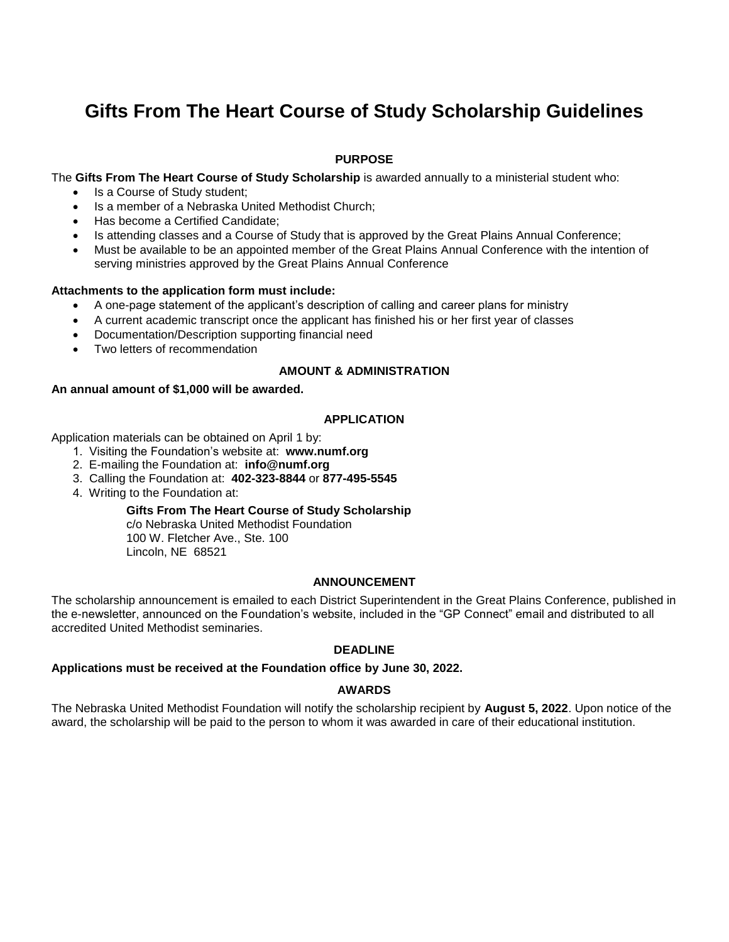# **Gifts From The Heart Course of Study Scholarship Guidelines**

## **PURPOSE**

The **Gifts From The Heart Course of Study Scholarship** is awarded annually to a ministerial student who:

- Is a Course of Study student:
- Is a member of a Nebraska United Methodist Church;
- Has become a Certified Candidate:
- Is attending classes and a Course of Study that is approved by the Great Plains Annual Conference;
- Must be available to be an appointed member of the Great Plains Annual Conference with the intention of serving ministries approved by the Great Plains Annual Conference

#### **Attachments to the application form must include:**

- A one-page statement of the applicant's description of calling and career plans for ministry
- A current academic transcript once the applicant has finished his or her first year of classes
- Documentation/Description supporting financial need
- Two letters of recommendation

#### **AMOUNT & ADMINISTRATION**

#### **An annual amount of \$1,000 will be awarded.**

#### **APPLICATION**

Application materials can be obtained on April 1 by:

- 1. Visiting the Foundation's website at: **www.numf.org**
- 2. E-mailing the Foundation at: **info@numf.org**
- 3. Calling the Foundation at: **402-323-8844** or **877-495-5545**
- 4. Writing to the Foundation at:

#### **Gifts From The Heart Course of Study Scholarship**

c/o Nebraska United Methodist Foundation 100 W. Fletcher Ave., Ste. 100 Lincoln, NE 68521

#### **ANNOUNCEMENT**

The scholarship announcement is emailed to each District Superintendent in the Great Plains Conference, published in the e-newsletter, announced on the Foundation's website, included in the "GP Connect" email and distributed to all accredited United Methodist seminaries.

#### **DEADLINE**

## **Applications must be received at the Foundation office by June 30, 2022.**

## **AWARDS**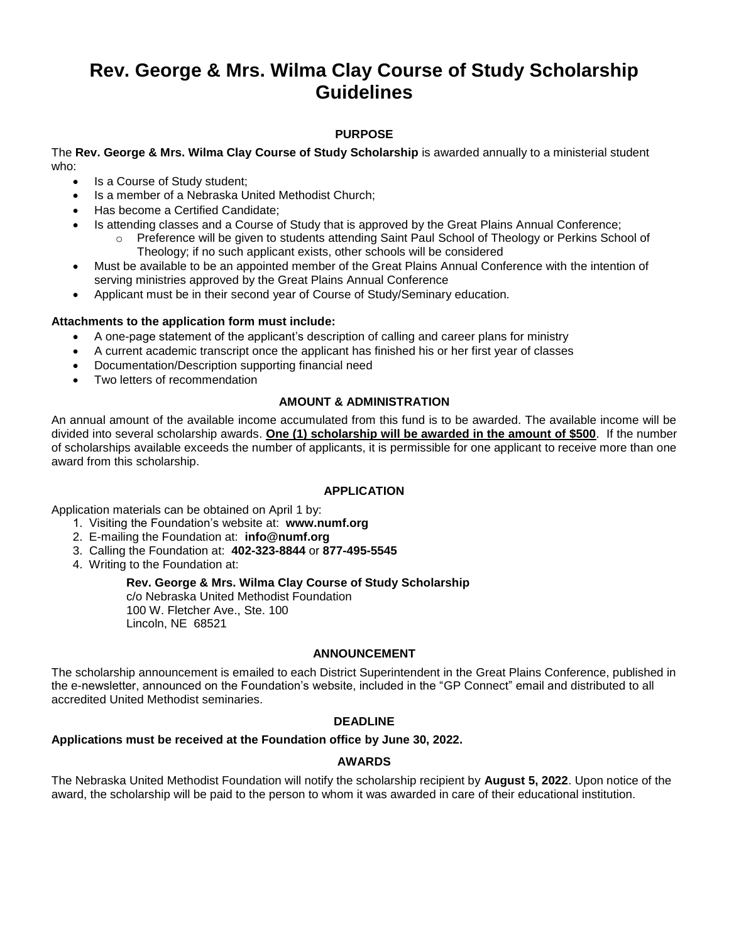# **Rev. George & Mrs. Wilma Clay Course of Study Scholarship Guidelines**

## **PURPOSE**

The **Rev. George & Mrs. Wilma Clay Course of Study Scholarship** is awarded annually to a ministerial student who:

- Is a Course of Study student;
- Is a member of a Nebraska United Methodist Church;
- Has become a Certified Candidate:
- Is attending classes and a Course of Study that is approved by the Great Plains Annual Conference;
	- o Preference will be given to students attending Saint Paul School of Theology or Perkins School of Theology; if no such applicant exists, other schools will be considered
- Must be available to be an appointed member of the Great Plains Annual Conference with the intention of serving ministries approved by the Great Plains Annual Conference
- Applicant must be in their second year of Course of Study/Seminary education.

#### **Attachments to the application form must include:**

- A one-page statement of the applicant's description of calling and career plans for ministry
- A current academic transcript once the applicant has finished his or her first year of classes
- Documentation/Description supporting financial need
- Two letters of recommendation

#### **AMOUNT & ADMINISTRATION**

An annual amount of the available income accumulated from this fund is to be awarded. The available income will be divided into several scholarship awards. **One (1) scholarship will be awarded in the amount of \$500**. If the number of scholarships available exceeds the number of applicants, it is permissible for one applicant to receive more than one award from this scholarship.

## **APPLICATION**

Application materials can be obtained on April 1 by:

- 1. Visiting the Foundation's website at: **www.numf.org**
- 2. E-mailing the Foundation at: **info@numf.org**
- 3. Calling the Foundation at: **402-323-8844** or **877-495-5545**
- 4. Writing to the Foundation at:

#### **Rev. George & Mrs. Wilma Clay Course of Study Scholarship**

c/o Nebraska United Methodist Foundation 100 W. Fletcher Ave., Ste. 100 Lincoln, NE 68521

## **ANNOUNCEMENT**

The scholarship announcement is emailed to each District Superintendent in the Great Plains Conference, published in the e-newsletter, announced on the Foundation's website, included in the "GP Connect" email and distributed to all accredited United Methodist seminaries.

#### **DEADLINE**

## **Applications must be received at the Foundation office by June 30, 2022.**

#### **AWARDS**